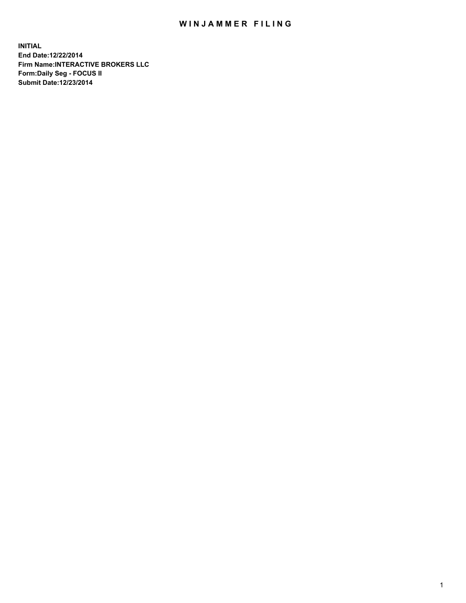## WIN JAMMER FILING

**INITIAL End Date:12/22/2014 Firm Name:INTERACTIVE BROKERS LLC Form:Daily Seg - FOCUS II Submit Date:12/23/2014**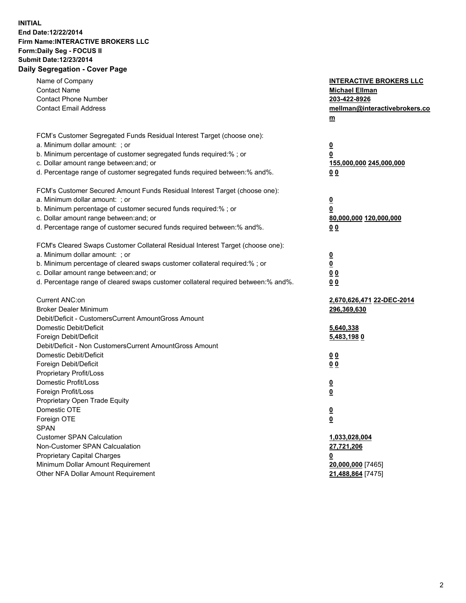## **INITIAL End Date:12/22/2014 Firm Name:INTERACTIVE BROKERS LLC Form:Daily Seg - FOCUS II Submit Date:12/23/2014 Daily Segregation - Cover Page**

| Name of Company<br><b>Contact Name</b><br><b>Contact Phone Number</b><br><b>Contact Email Address</b>                                                                                                                                                                                                                          | <b>INTERACTIVE BROKERS LLC</b><br><b>Michael Ellman</b><br>203-422-8926<br>mellman@interactivebrokers.co<br><u>m</u> |
|--------------------------------------------------------------------------------------------------------------------------------------------------------------------------------------------------------------------------------------------------------------------------------------------------------------------------------|----------------------------------------------------------------------------------------------------------------------|
| FCM's Customer Segregated Funds Residual Interest Target (choose one):<br>a. Minimum dollar amount: ; or<br>b. Minimum percentage of customer segregated funds required:% ; or<br>c. Dollar amount range between: and; or<br>d. Percentage range of customer segregated funds required between:% and%.                         | <u>0</u><br>0<br>155,000,000 245,000,000<br>00                                                                       |
| FCM's Customer Secured Amount Funds Residual Interest Target (choose one):<br>a. Minimum dollar amount: ; or<br>b. Minimum percentage of customer secured funds required:% ; or<br>c. Dollar amount range between: and; or<br>d. Percentage range of customer secured funds required between:% and%.                           | $\overline{\mathbf{0}}$<br>0<br>80,000,000 120,000,000<br>0 <sub>0</sub>                                             |
| FCM's Cleared Swaps Customer Collateral Residual Interest Target (choose one):<br>a. Minimum dollar amount: ; or<br>b. Minimum percentage of cleared swaps customer collateral required:% ; or<br>c. Dollar amount range between: and; or<br>d. Percentage range of cleared swaps customer collateral required between:% and%. | $\overline{\mathbf{0}}$<br><u>0</u><br>0 <sub>0</sub><br>0 <sub>0</sub>                                              |
| Current ANC:on<br><b>Broker Dealer Minimum</b><br>Debit/Deficit - CustomersCurrent AmountGross Amount<br>Domestic Debit/Deficit<br>Foreign Debit/Deficit                                                                                                                                                                       | 2,670,626,471 22-DEC-2014<br>296,369,630<br>5,640,338<br>5,483,1980                                                  |
| Debit/Deficit - Non CustomersCurrent AmountGross Amount<br>Domestic Debit/Deficit<br>Foreign Debit/Deficit<br>Proprietary Profit/Loss<br>Domestic Profit/Loss<br>Foreign Profit/Loss                                                                                                                                           | 0 <sub>0</sub><br>0 <sub>0</sub><br>$\overline{\mathbf{0}}$<br>$\overline{\mathbf{0}}$                               |
| Proprietary Open Trade Equity<br>Domestic OTE<br>Foreign OTE<br><b>SPAN</b><br><b>Customer SPAN Calculation</b><br>Non-Customer SPAN Calcualation                                                                                                                                                                              | $\overline{\mathbf{0}}$<br><u>0</u><br>1,033,028,004<br>27,721,206                                                   |
| <b>Proprietary Capital Charges</b><br>Minimum Dollar Amount Requirement<br>Other NFA Dollar Amount Requirement                                                                                                                                                                                                                 | <u>0</u><br>20,000,000 [7465]<br>21,488,864 [7475]                                                                   |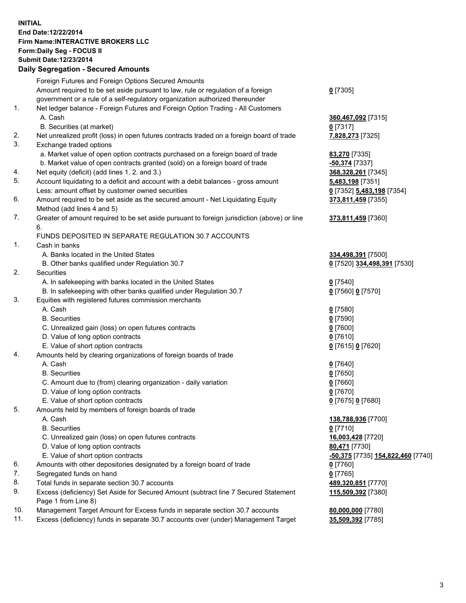## **INITIAL End Date:12/22/2014 Firm Name:INTERACTIVE BROKERS LLC Form:Daily Seg - FOCUS II Submit Date:12/23/2014 Daily Segregation - Secured Amounts**

|     | <b>Dany Ocgregation - Occarea Amounts</b>                                                                  |                                   |
|-----|------------------------------------------------------------------------------------------------------------|-----------------------------------|
|     | Foreign Futures and Foreign Options Secured Amounts                                                        |                                   |
|     | Amount required to be set aside pursuant to law, rule or regulation of a foreign                           | $0$ [7305]                        |
|     | government or a rule of a self-regulatory organization authorized thereunder                               |                                   |
| 1.  | Net ledger balance - Foreign Futures and Foreign Option Trading - All Customers                            |                                   |
|     | A. Cash                                                                                                    | 360,467,092 [7315]                |
|     | B. Securities (at market)                                                                                  | $0$ [7317]                        |
| 2.  | Net unrealized profit (loss) in open futures contracts traded on a foreign board of trade                  | 7,828,273 [7325]                  |
| 3.  | Exchange traded options                                                                                    |                                   |
|     | a. Market value of open option contracts purchased on a foreign board of trade                             | <b>83,270</b> [7335]              |
|     | b. Market value of open contracts granted (sold) on a foreign board of trade                               | -50,374 [7337]                    |
| 4.  | Net equity (deficit) (add lines 1.2. and 3.)                                                               | 368,328,261 [7345]                |
| 5.  | Account liquidating to a deficit and account with a debit balances - gross amount                          | 5,483,198 [7351]                  |
|     | Less: amount offset by customer owned securities                                                           | 0 [7352] 5,483,198 [7354]         |
| 6.  | Amount required to be set aside as the secured amount - Net Liquidating Equity                             | 373,811,459 [7355]                |
|     | Method (add lines 4 and 5)                                                                                 |                                   |
| 7.  | Greater of amount required to be set aside pursuant to foreign jurisdiction (above) or line                | 373,811,459 [7360]                |
|     | 6.                                                                                                         |                                   |
|     | FUNDS DEPOSITED IN SEPARATE REGULATION 30.7 ACCOUNTS                                                       |                                   |
| 1.  | Cash in banks                                                                                              |                                   |
|     | A. Banks located in the United States                                                                      | 334,498,391 [7500]                |
|     | B. Other banks qualified under Regulation 30.7                                                             | 0 [7520] 334,498,391 [7530]       |
| 2.  | Securities                                                                                                 |                                   |
|     | A. In safekeeping with banks located in the United States                                                  | $0$ [7540]                        |
|     | B. In safekeeping with other banks qualified under Regulation 30.7                                         | 0 [7560] 0 [7570]                 |
| 3.  | Equities with registered futures commission merchants                                                      |                                   |
|     | A. Cash                                                                                                    | $0$ [7580]                        |
|     | <b>B.</b> Securities                                                                                       | $0$ [7590]                        |
|     | C. Unrealized gain (loss) on open futures contracts                                                        | $0$ [7600]                        |
|     | D. Value of long option contracts                                                                          | $0$ [7610]                        |
|     | E. Value of short option contracts                                                                         | 0 [7615] 0 [7620]                 |
| 4.  | Amounts held by clearing organizations of foreign boards of trade                                          |                                   |
|     | A. Cash                                                                                                    | $0$ [7640]                        |
|     | <b>B.</b> Securities                                                                                       | $0$ [7650]                        |
|     | C. Amount due to (from) clearing organization - daily variation                                            | $0$ [7660]                        |
|     | D. Value of long option contracts                                                                          | $0$ [7670]                        |
|     | E. Value of short option contracts                                                                         | 0 [7675] 0 [7680]                 |
| 5.  | Amounts held by members of foreign boards of trade                                                         |                                   |
|     | A. Cash                                                                                                    | 138,788,936 [7700]                |
|     | <b>B.</b> Securities                                                                                       | $0$ [7710]                        |
|     | C. Unrealized gain (loss) on open futures contracts                                                        | 16,003,428 [7720]                 |
|     | D. Value of long option contracts                                                                          | 80,471 [7730]                     |
|     | E. Value of short option contracts                                                                         | -50,375 [7735] 154,822,460 [7740] |
| 6.  | Amounts with other depositories designated by a foreign board of trade                                     | $0$ [7760]                        |
| 7.  | Segregated funds on hand                                                                                   | $0$ [7765]                        |
| 8.  | Total funds in separate section 30.7 accounts                                                              | 489,320,851 [7770]                |
| 9.  | Excess (deficiency) Set Aside for Secured Amount (subtract line 7 Secured Statement<br>Page 1 from Line 8) | 115,509,392 [7380]                |
| 10. | Management Target Amount for Excess funds in separate section 30.7 accounts                                | 80,000,000 [7780]                 |
| 11. | Excess (deficiency) funds in separate 30.7 accounts over (under) Management Target                         | 35,509,392 [7785]                 |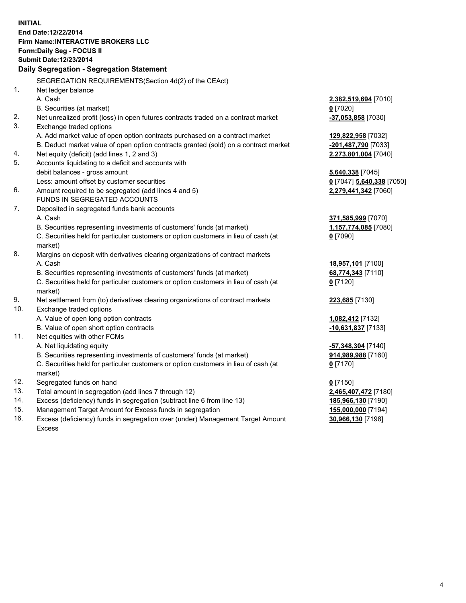**INITIAL End Date:12/22/2014 Firm Name:INTERACTIVE BROKERS LLC Form:Daily Seg - FOCUS II Submit Date:12/23/2014 Daily Segregation - Segregation Statement** SEGREGATION REQUIREMENTS(Section 4d(2) of the CEAct) 1. Net ledger balance A. Cash **2,382,519,694** [7010] B. Securities (at market) **0** [7020] 2. Net unrealized profit (loss) in open futures contracts traded on a contract market **-37,053,858** [7030] 3. Exchange traded options A. Add market value of open option contracts purchased on a contract market **129,822,958** [7032] B. Deduct market value of open option contracts granted (sold) on a contract market **-201,487,790** [7033] 4. Net equity (deficit) (add lines 1, 2 and 3) **2,273,801,004** [7040] 5. Accounts liquidating to a deficit and accounts with debit balances - gross amount **5,640,338** [7045] Less: amount offset by customer securities **0** [7047] **5,640,338** [7050] 6. Amount required to be segregated (add lines 4 and 5) **2,279,441,342** [7060] FUNDS IN SEGREGATED ACCOUNTS 7. Deposited in segregated funds bank accounts A. Cash **371,585,999** [7070] B. Securities representing investments of customers' funds (at market) **1,157,774,085** [7080] C. Securities held for particular customers or option customers in lieu of cash (at market) **0** [7090] 8. Margins on deposit with derivatives clearing organizations of contract markets A. Cash **18,957,101** [7100] B. Securities representing investments of customers' funds (at market) **68,774,343** [7110] C. Securities held for particular customers or option customers in lieu of cash (at market) **0** [7120] 9. Net settlement from (to) derivatives clearing organizations of contract markets **223,685** [7130] 10. Exchange traded options A. Value of open long option contracts **1,082,412** [7132] B. Value of open short option contracts **-10,631,837** [7133] 11. Net equities with other FCMs A. Net liquidating equity **-57,348,304** [7140] B. Securities representing investments of customers' funds (at market) **914,989,988** [7160] C. Securities held for particular customers or option customers in lieu of cash (at market) **0** [7170] 12. Segregated funds on hand **0** [7150] 13. Total amount in segregation (add lines 7 through 12) **2,465,407,472** [7180] 14. Excess (deficiency) funds in segregation (subtract line 6 from line 13) **185,966,130** [7190] 15. Management Target Amount for Excess funds in segregation **155,000,000** [7194]

16. Excess (deficiency) funds in segregation over (under) Management Target Amount Excess

**30,966,130** [7198]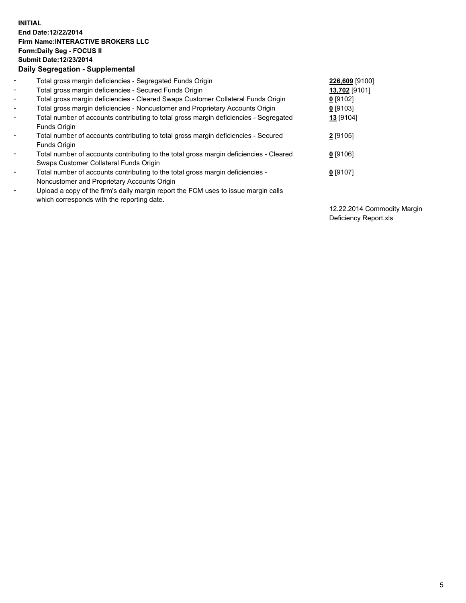## **INITIAL End Date:12/22/2014 Firm Name:INTERACTIVE BROKERS LLC Form:Daily Seg - FOCUS II Submit Date:12/23/2014 Daily Segregation - Supplemental**

| $\blacksquare$ | Total gross margin deficiencies - Segregated Funds Origin                              | 226,609 [9100] |
|----------------|----------------------------------------------------------------------------------------|----------------|
| $\blacksquare$ | Total gross margin deficiencies - Secured Funds Origin                                 | 13,702 [9101]  |
| $\blacksquare$ | Total gross margin deficiencies - Cleared Swaps Customer Collateral Funds Origin       | $0$ [9102]     |
| $\blacksquare$ | Total gross margin deficiencies - Noncustomer and Proprietary Accounts Origin          | 0 [9103]       |
| $\blacksquare$ | Total number of accounts contributing to total gross margin deficiencies - Segregated  | 13 [9104]      |
|                | <b>Funds Origin</b>                                                                    |                |
| $\blacksquare$ | Total number of accounts contributing to total gross margin deficiencies - Secured     | $2$ [9105]     |
|                | <b>Funds Origin</b>                                                                    |                |
| $\blacksquare$ | Total number of accounts contributing to the total gross margin deficiencies - Cleared | $0$ [9106]     |
|                | Swaps Customer Collateral Funds Origin                                                 |                |
| $\blacksquare$ | Total number of accounts contributing to the total gross margin deficiencies -         | $0$ [9107]     |
|                | Noncustomer and Proprietary Accounts Origin                                            |                |
| $\blacksquare$ | Upload a copy of the firm's daily margin report the FCM uses to issue margin calls     |                |
|                | which corresponds with the reporting date.                                             |                |

12.22.2014 Commodity Margin Deficiency Report.xls